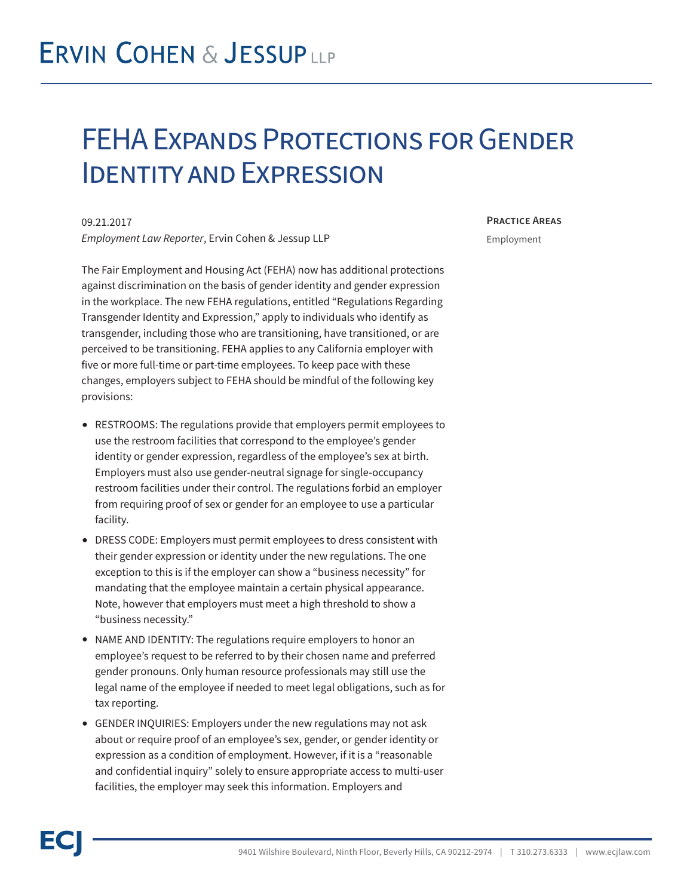## **ERVIN COHEN & JESSUPLLP**

### FEHA Expands Protections for Gender Identity and Expression

09.21.2017 *Employment Law Reporter*, Ervin Cohen & Jessup LLP

The Fair Employment and Housing Act (FEHA) now has additional protections against discrimination on the basis of gender identity and gender expression in the workplace. The new FEHA regulations, entitled "Regulations Regarding Transgender Identity and Expression," apply to individuals who identify as transgender, including those who are transitioning, have transitioned, or are perceived to be transitioning. FEHA applies to any California employer with five or more full-time or part-time employees. To keep pace with these changes, employers subject to FEHA should be mindful of the following key provisions:

- RESTROOMS: The regulations provide that employers permit employees to use the restroom facilities that correspond to the employee's gender identity or gender expression, regardless of the employee's sex at birth. Employers must also use gender-neutral signage for single-occupancy restroom facilities under their control. The regulations forbid an employer from requiring proof of sex or gender for an employee to use a particular facility.
- DRESS CODE: Employers must permit employees to dress consistent with their gender expression or identity under the new regulations. The one exception to this is if the employer can show a "business necessity" for mandating that the employee maintain a certain physical appearance. Note, however that employers must meet a high threshold to show a "business necessity."
- NAME AND IDENTITY: The regulations require employers to honor an employee's request to be referred to by their chosen name and preferred gender pronouns. Only human resource professionals may still use the legal name of the employee if needed to meet legal obligations, such as for tax reporting.
- GENDER INQUIRIES: Employers under the new regulations may not ask about or require proof of an employee's sex, gender, or gender identity or expression as a condition of employment. However, if it is a "reasonable and confidential inquiry" solely to ensure appropriate access to multi-user facilities, the employer may seek this information. Employers and

#### **Practice Areas**

Employment